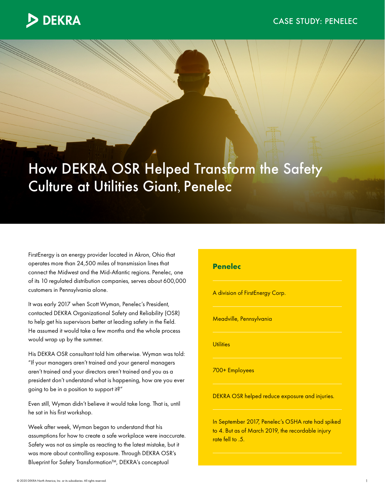

## How DEKRA OSR Helped Transform the Safety Culture at Utilities Giant, Penelec

FirstEnergy is an energy provider located in Akron, Ohio that operates more than 24,500 miles of transmission lines that connect the Midwest and the Mid-Atlantic regions. Penelec, one of its 10 regulated distribution companies, serves about 600,000 customers in Pennsylvania alone.

It was early 2017 when Scott Wyman, Penelec's President, contacted DEKRA Organizational Safety and Reliability (OSR) to help get his supervisors better at leading safety in the field. He assumed it would take a few months and the whole process would wrap up by the summer.

His DEKRA OSR consultant told him otherwise. Wyman was told: "If your managers aren't trained and your general managers aren't trained and your directors aren't trained and you as a president don't understand what is happening, how are you ever going to be in a position to support it?"

Even still, Wyman didn't believe it would take long. That is, until he sat in his first workshop.

Week after week, Wyman began to understand that his assumptions for how to create a safe workplace were inaccurate. Safety was not as simple as reacting to the latest mistake, but it was more about controlling exposure. Through DEKRA OSR's Blueprint for Safety Transformation™, DEKRA's conceptual

## **Penelec**

A division of FirstEnergy Corp.

Meadville, Pennsylvania

**Utilities** 

700+ Employees

DEKRA OSR helped reduce exposure and injuries.

In September 2017, Penelec's OSHA rate had spiked to 4. But as of March 2019, the recordable injury rate fell to .5.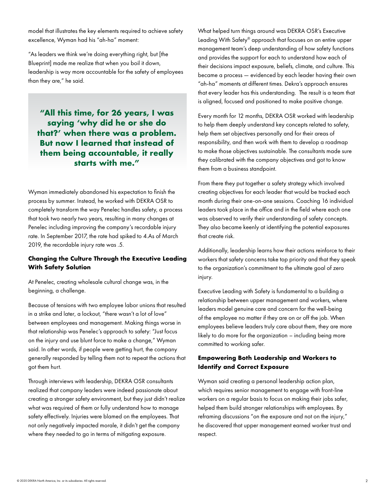model that illustrates the key elements required to achieve safety excellence, Wyman had his "ah-ha" moment:

"As leaders we think we're doing everything right, but [the Blueprint] made me realize that when you boil it down, leadership is way more accountable for the safety of employees than they are," he said.

**"All this time, for 26 years, I was saying 'why did he or she do that?' when there was a problem. But now I learned that instead of them being accountable, it really starts with me."**

Wyman immediately abandoned his expectation to finish the process by summer. Instead, he worked with DEKRA OSR to completely transform the way Penelec handles safety, a process that took two nearly two years, resulting in many changes at Penelec including improving the company's recordable injury rate. In September 2017, the rate had spiked to 4.As of March 2019, the recordable injury rate was .5.

## **Changing the Culture Through the Executive Leading With Safety Solution**

At Penelec, creating wholesale cultural change was, in the beginning, a challenge.

Because of tensions with two employee labor unions that resulted in a strike and later, a lockout, "there wasn't a lot of love" between employees and management. Making things worse in that relationship was Penelec's approach to safety: "Just focus on the injury and use blunt force to make a change," Wyman said. In other words, if people were getting hurt, the company generally responded by telling them not to repeat the actions that got them hurt.

Through interviews with leadership, DEKRA OSR consultants realized that company leaders were indeed passionate about creating a stronger safety environment, but they just didn't realize what was required of them or fully understand how to manage safety effectively. Injuries were blamed on the employees. That not only negatively impacted morale, it didn't get the company where they needed to go in terms of mitigating exposure.

What helped turn things around was DEKRA OSR's Executive Leading With Safety® approach that focuses on an entire upper management team's deep understanding of how safety functions and provides the support for each to understand how each of their decisions impact exposure, beliefs, climate, and culture. This became a process — evidenced by each leader having their own "ah-ha" moments at different times. Dekra's approach ensures that every leader has this understanding. The result is a team that is aligned, focused and positioned to make positive change.

Every month for 12 months, DEKRA OSR worked with leadership to help them deeply understand key concepts related to safety, help them set objectives personally and for their areas of responsibility, and then work with them to develop a roadmap to make those objectives sustainable. The consultants made sure they calibrated with the company objectives and got to know them from a business standpoint.

From there they put together a safety strategy which involved creating objectives for each leader that would be tracked each month during their one-on-one sessions. Coaching 16 individual leaders took place in the office and in the field where each one was observed to verify their understanding of safety concepts. They also became keenly at identifying the potential exposures that create risk.

Additionally, leadership learns how their actions reinforce to their workers that safety concerns take top priority and that they speak to the organization's commitment to the ultimate goal of zero injury.

Executive Leading with Safety is fundamental to a building a relationship between upper management and workers, where leaders model genuine care and concern for the well-being of the employee no matter if they are on or off the job. When employees believe leaders truly care about them, they are more likely to do more for the organization – including being more committed to working safer.

## **Empowering Both Leadership and Workers to Identify and Correct Exposure**

Wyman said creating a personal leadership action plan, which requires senior management to engage with front-line workers on a regular basis to focus on making their jobs safer, helped them build stronger relationships with employees. By reframing discussions "on the exposure and not on the injury," he discovered that upper management earned worker trust and respect.